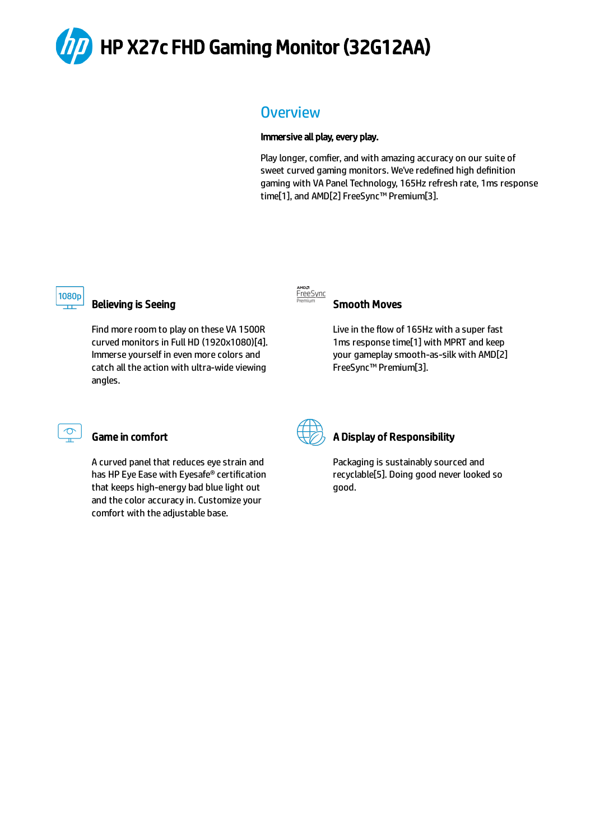

## **Overview**

#### Immersive all play, every play.

Play longer, comfier, and with amazing accuracy on our suite of sweet curved gaming monitors. We've redefined high definition gaming with VA Panel Technology, 165Hz refresh rate, 1ms response time[1], and AMD[2] FreeSync™ Premium[3].



### Believing is Seeing

Find more room to play on these VA 1500R curved monitors in Full HD (1920x1080)[4]. Immerse yourself in even more colors and catch all the action with ultra-wide viewing angles.



#### Smooth Moves

Live in the flow of 165Hz with a super fast 1ms response time[1] with MPRT and keep your gameplay smooth-as-silk with AMD[2] FreeSync™ Premium[3].



## Game in comfort

A curved panel that reduces eye strain and has HP Eye Ease with Eyesafe® certification that keeps high-energy bad blue light out and the color accuracy in. Customize your comfort with the adjustable base.



## A Display of Responsibility

Packaging is sustainably sourced and recyclable[5]. Doing good never looked so good.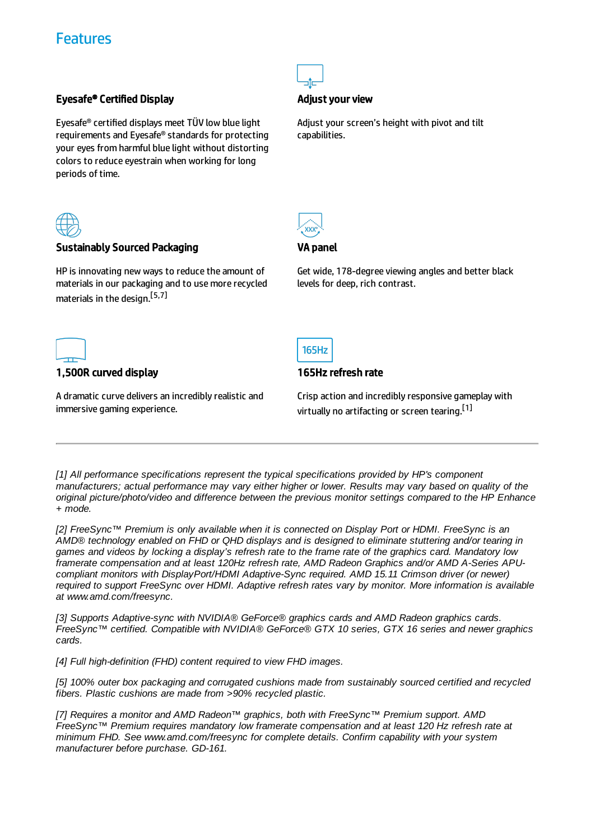## **Features**

### Eyesafe® Certified Display

Eyesafe® certified displays meet TÜV low blue light requirements and Eyesafe® standards for protecting your eyes from harmful blue light without distorting colors to reduce eyestrain when working for long periods of time.



#### Sustainably Sourced Packaging

HP is innovating new ways to reduce the amount of materials in our packaging and to use more recycled materials in the design. [5,7]



#### Adjust your view

Adjust your screen's height with pivot and tilt capabilities.



#### VA panel

**165Hz** 

165Hz refresh rate

Get wide, 178-degree viewing angles and better black levels for deep, rich contrast.



#### 1,500R curved display

A dramatic curve delivers an incredibly realistic and immersive gaming experience.

Crisp action and incredibly responsive gameplay with virtually no artifacting or screen tearing.<sup>[1]</sup>

*[1] All performance specifications represent the typical specifications provided by HP's component* manufacturers; actual performance may vary either higher or lower. Results may vary based on quality of the *original picture/photo/video and difference between the previous monitor settings compared to the HP Enhance + mode.*

*[2] FreeSync™ Premium is only available when it is connected on Display Port or HDMI. FreeSync is an AMD® technology enabled on FHD or QHD displays and is designed to eliminate stuttering and/or tearing in* games and videos by locking a display's refresh rate to the frame rate of the graphics card. Mandatory low *framerate compensation and at least 120Hz refresh rate, AMD Radeon Graphics and/or AMD A-Series APUcompliant monitors with DisplayPort/HDMI Adaptive-Sync required. AMD 15.11 Crimson driver (or newer) required to support FreeSync over HDMI. Adaptive refresh rates vary by monitor. More information is available at www.amd.com/freesync.*

*[3] Supports Adaptive-sync with NVIDIA® GeForce® graphics cards and AMD Radeon graphics cards. FreeSync™ certified. Compatible with NVIDIA® GeForce® GTX 10 series, GTX 16 series and newer graphics cards.*

*[4] Full high-definition (FHD) content required to view FHD images.*

*[5] 100% outer box packaging and corrugated cushions made from sustainably sourced certified and recycled fibers. Plastic cushions are made from >90% recycled plastic.*

*[7] Requires a monitor and AMD Radeon™ graphics, both with FreeSync™ Premium support. AMD FreeSync™ Premium requires mandatory low framerate compensation and at least 120 Hz refresh rate at minimum FHD. See www.amd.com/freesync for complete details. Confirm capability with your system manufacturer before purchase. GD-161.*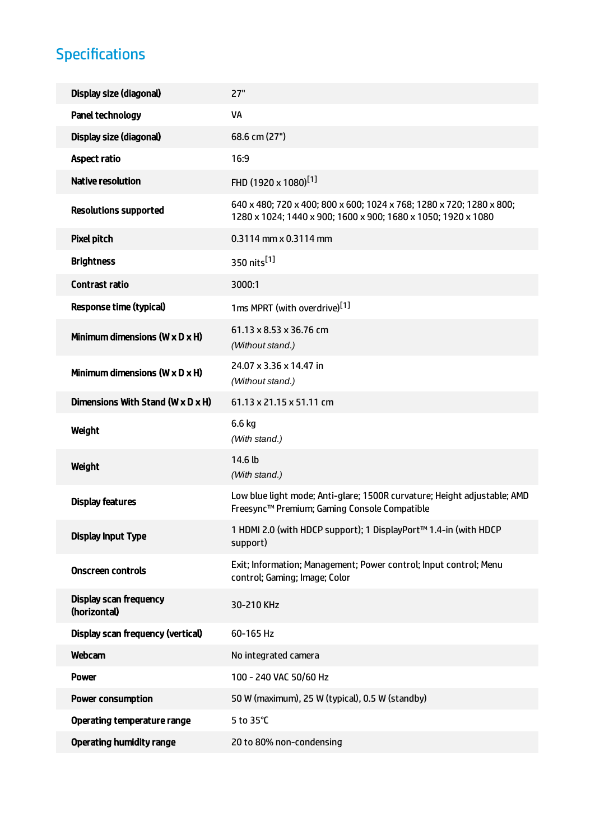# Specifications

| Display size (diagonal)                         | 27"                                                                                                                                   |
|-------------------------------------------------|---------------------------------------------------------------------------------------------------------------------------------------|
| Panel technology                                | VA                                                                                                                                    |
| Display size (diagonal)                         | 68.6 cm (27")                                                                                                                         |
| <b>Aspect ratio</b>                             | 16:9                                                                                                                                  |
| <b>Native resolution</b>                        | FHD (1920 x 1080) <sup>[1]</sup>                                                                                                      |
| <b>Resolutions supported</b>                    | 640 x 480; 720 x 400; 800 x 600; 1024 x 768; 1280 x 720; 1280 x 800;<br>1280 x 1024; 1440 x 900; 1600 x 900; 1680 x 1050; 1920 x 1080 |
| <b>Pixel pitch</b>                              | 0.3114 mm x 0.3114 mm                                                                                                                 |
| <b>Brightness</b>                               | 350 nits <sup>[1]</sup>                                                                                                               |
| Contrast ratio                                  | 3000:1                                                                                                                                |
| <b>Response time (typical)</b>                  | 1ms MPRT (with overdrive) <sup>[1]</sup>                                                                                              |
| Minimum dimensions ( $W \times D \times H$ )    | 61.13 x 8.53 x 36.76 cm<br>(Without stand.)                                                                                           |
| Minimum dimensions $(W \times D \times H)$      | 24.07 x 3.36 x 14.47 in<br>(Without stand.)                                                                                           |
| Dimensions With Stand (W $\times$ D $\times$ H) | 61.13 x 21.15 x 51.11 cm                                                                                                              |
|                                                 |                                                                                                                                       |
| Weight                                          | 6.6 kg<br>(With stand.)                                                                                                               |
| Weight                                          | 14.6 lb<br>(With stand.)                                                                                                              |
| <b>Display features</b>                         | Low blue light mode; Anti-glare; 1500R curvature; Height adjustable; AMD<br>Freesync™ Premium; Gaming Console Compatible              |
| <b>Display Input Type</b>                       | 1 HDMI 2.0 (with HDCP support); 1 DisplayPort™ 1.4-in (with HDCP<br>support)                                                          |
| <b>Onscreen controls</b>                        | Exit; Information; Management; Power control; Input control; Menu<br>control; Gaming; Image; Color                                    |
| <b>Display scan frequency</b><br>(horizontal)   | 30-210 KHz                                                                                                                            |
| Display scan frequency (vertical)               | 60-165 Hz                                                                                                                             |
| Webcam                                          | No integrated camera                                                                                                                  |
| <b>Power</b>                                    | 100 - 240 VAC 50/60 Hz                                                                                                                |
| <b>Power consumption</b>                        | 50 W (maximum), 25 W (typical), 0.5 W (standby)                                                                                       |
| Operating temperature range                     | 5 to 35°C                                                                                                                             |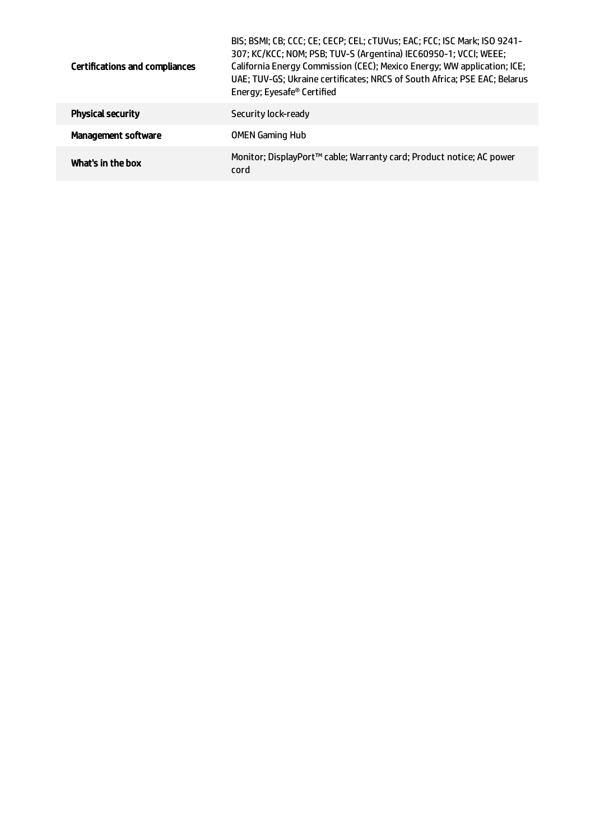| <b>Certifications and compliances</b> | BIS; BSMI; CB; CCC; CE; CECP; CEL; cTUVus; EAC; FCC; ISC Mark; ISO 9241-<br>307; KC/KCC; NOM; PSB; TUV-S (Argentina) IEC60950-1; VCCI; WEEE;<br>California Energy Commission (CEC); Mexico Energy; WW application; ICE;<br>UAE; TUV-GS; Ukraine certificates; NRCS of South Africa; PSE EAC; Belarus<br>Energy; Eyesafe <sup>®</sup> Certified |
|---------------------------------------|------------------------------------------------------------------------------------------------------------------------------------------------------------------------------------------------------------------------------------------------------------------------------------------------------------------------------------------------|
| <b>Physical security</b>              | Security lock-ready                                                                                                                                                                                                                                                                                                                            |
| <b>Management software</b>            | <b>OMEN Gaming Hub</b>                                                                                                                                                                                                                                                                                                                         |
| What's in the box                     | Monitor; DisplayPort™ cable; Warranty card; Product notice; AC power<br>cord                                                                                                                                                                                                                                                                   |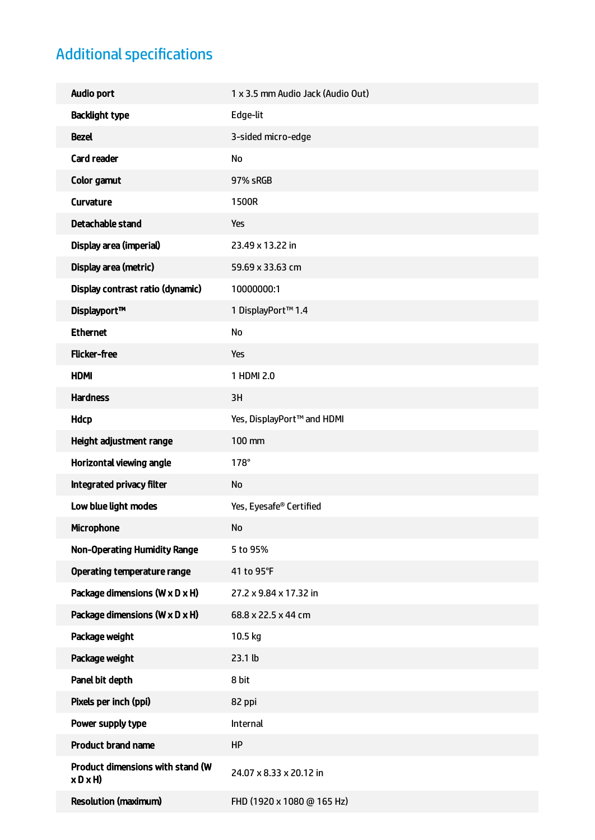# Additional specifications

| <b>Audio port</b>                                | 1 x 3.5 mm Audio Jack (Audio Out) |
|--------------------------------------------------|-----------------------------------|
| <b>Backlight type</b>                            | Edge-lit                          |
| <b>Bezel</b>                                     | 3-sided micro-edge                |
| <b>Card reader</b>                               | <b>No</b>                         |
| Color gamut                                      | 97% sRGB                          |
| Curvature                                        | 1500R                             |
| Detachable stand                                 | Yes                               |
| Display area (imperial)                          | 23.49 x 13.22 in                  |
| Display area (metric)                            | 59.69 x 33.63 cm                  |
| Display contrast ratio (dynamic)                 | 10000000:1                        |
| Displayport™                                     | 1 DisplayPort™ 1.4                |
| <b>Ethernet</b>                                  | No                                |
| <b>Flicker-free</b>                              | Yes                               |
| <b>HDMI</b>                                      | 1 HDMI 2.0                        |
| <b>Hardness</b>                                  | 3H                                |
| <b>Hdcp</b>                                      | Yes, DisplayPort™ and HDMI        |
| Height adjustment range                          | 100 mm                            |
| Horizontal viewing angle                         | $178^\circ$                       |
| Integrated privacy filter                        | <b>No</b>                         |
| Low blue light modes                             | Yes, Eyesafe® Certified           |
| <b>Microphone</b>                                | <b>No</b>                         |
| <b>Non-Operating Humidity Range</b>              | 5 to 95%                          |
| Operating temperature range                      | 41 to 95°F                        |
| Package dimensions (W x D x H)                   | 27.2 x 9.84 x 17.32 in            |
| Package dimensions (W x D x H)                   | 68.8 x 22.5 x 44 cm               |
| Package weight                                   | 10.5 kg                           |
| Package weight                                   | 23.1 lb                           |
| Panel bit depth                                  | 8 bit                             |
| Pixels per inch (ppi)                            | 82 ppi                            |
| Power supply type                                | Internal                          |
| <b>Product brand name</b>                        | <b>HP</b>                         |
| Product dimensions with stand (W<br>$x$ D $x$ H) | 24.07 x 8.33 x 20.12 in           |
| <b>Resolution (maximum)</b>                      | FHD (1920 x 1080 @ 165 Hz)        |